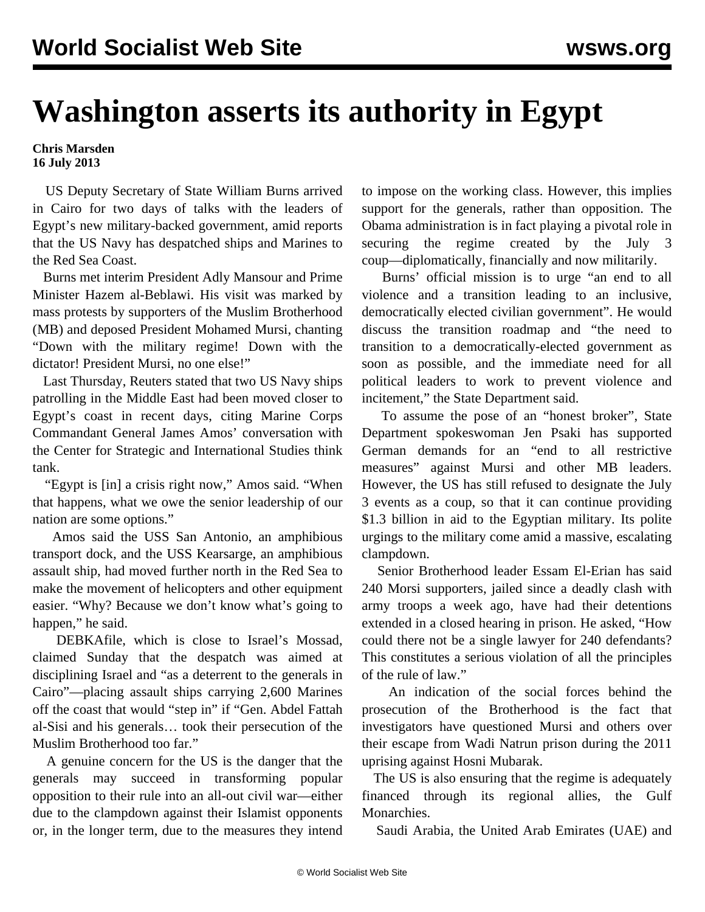## **Washington asserts its authority in Egypt**

## **Chris Marsden 16 July 2013**

 US Deputy Secretary of State William Burns arrived in Cairo for two days of talks with the leaders of Egypt's new military-backed government, amid reports that the US Navy has despatched ships and Marines to the Red Sea Coast.

 Burns met interim President Adly Mansour and Prime Minister Hazem al-Beblawi. His visit was marked by mass protests by supporters of the Muslim Brotherhood (MB) and deposed President Mohamed Mursi, chanting "Down with the military regime! Down with the dictator! President Mursi, no one else!"

 Last Thursday, Reuters stated that two US Navy ships patrolling in the Middle East had been moved closer to Egypt's coast in recent days, citing Marine Corps Commandant General James Amos' conversation with the Center for Strategic and International Studies think tank.

 "Egypt is [in] a crisis right now," Amos said. "When that happens, what we owe the senior leadership of our nation are some options."

 Amos said the USS San Antonio, an amphibious transport dock, and the USS Kearsarge, an amphibious assault ship, had moved further north in the Red Sea to make the movement of helicopters and other equipment easier. "Why? Because we don't know what's going to happen," he said.

 DEBKAfile, which is close to Israel's Mossad, claimed Sunday that the despatch was aimed at disciplining Israel and "as a deterrent to the generals in Cairo"—placing assault ships carrying 2,600 Marines off the coast that would "step in" if "Gen. Abdel Fattah al-Sisi and his generals… took their persecution of the Muslim Brotherhood too far."

 A genuine concern for the US is the danger that the generals may succeed in transforming popular opposition to their rule into an all-out civil war—either due to the clampdown against their Islamist opponents or, in the longer term, due to the measures they intend to impose on the working class. However, this implies support for the generals, rather than opposition. The Obama administration is in fact playing a pivotal role in securing the regime created by the July 3 coup—diplomatically, financially and now militarily.

 Burns' official mission is to urge "an end to all violence and a transition leading to an inclusive, democratically elected civilian government". He would discuss the transition roadmap and "the need to transition to a democratically-elected government as soon as possible, and the immediate need for all political leaders to work to prevent violence and incitement," the State Department said.

 To assume the pose of an "honest broker", State Department spokeswoman Jen Psaki has supported German demands for an "end to all restrictive measures" against Mursi and other MB leaders. However, the US has still refused to designate the July 3 events as a coup, so that it can continue providing \$1.3 billion in aid to the Egyptian military. Its polite urgings to the military come amid a massive, escalating clampdown.

 Senior Brotherhood leader Essam El-Erian has said 240 Morsi supporters, jailed since a deadly clash with army troops a week ago, have had their detentions extended in a closed hearing in prison. He asked, "How could there not be a single lawyer for 240 defendants? This constitutes a serious violation of all the principles of the rule of law."

 An indication of the social forces behind the prosecution of the Brotherhood is the fact that investigators have questioned Mursi and others over their escape from Wadi Natrun prison during the 2011 uprising against Hosni Mubarak.

 The US is also ensuring that the regime is adequately financed through its regional allies, the Gulf Monarchies.

Saudi Arabia, the United Arab Emirates (UAE) and